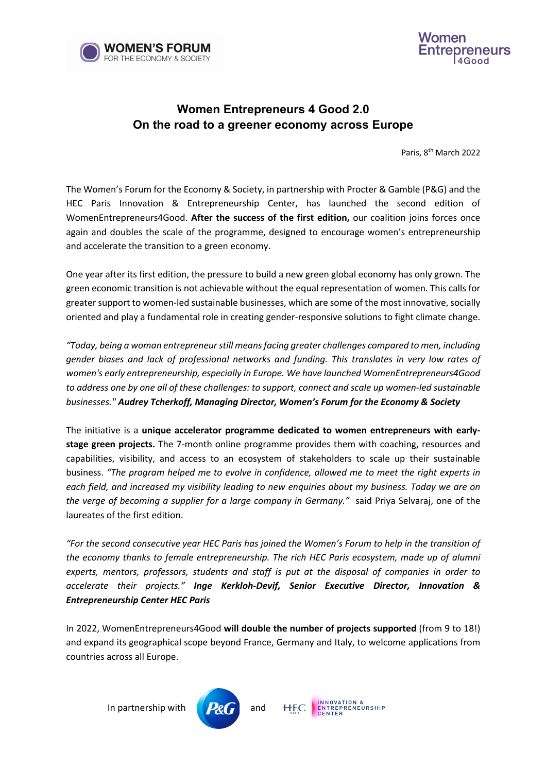



## **Women Entrepreneurs 4 Good 2.0 On the road to a greener economy across Europe**

Paris, 8th March 2022

The Women's Forum for the Economy & Society, in partnership with Procter & Gamble (P&G) and the HEC Paris Innovation & Entrepreneurship Center, has launched the second edition of WomenEntrepreneurs4Good. **After the success of the first edition,** our coalition joins forces once again and doubles the scale of the programme, designed to encourage women's entrepreneurship and accelerate the transition to a green economy.

One year after its first edition, the pressure to build a new green global economy has only grown. The green economic transition is not achievable without the equal representation of women. This calls for greater support to women-led sustainable businesses, which are some of the most innovative, socially oriented and play a fundamental role in creating gender-responsive solutions to fight climate change.

*"Today, being a woman entrepreneur still means facing greater challenges compared to men, including gender biases and lack of professional networks and funding. This translates in very low rates of women's early entrepreneurship, especially in Europe. We have launched WomenEntrepreneurs4Good to address one by one all of these challenges: to support, connect and scale up women-led sustainable businesses." Audrey Tcherkoff, Managing Director, Women's Forum for the Economy & Society* 

The initiative is a **unique accelerator programme dedicated to women entrepreneurs with earlystage green projects.** The 7-month online programme provides them with coaching, resources and capabilities, visibility, and access to an ecosystem of stakeholders to scale up their sustainable business. *"The program helped me to evolve in confidence, allowed me to meet the right experts in each field, and increased my visibility leading to new enquiries about my business. Today we are on the verge of becoming a supplier for a large company in Germany."* said Priya Selvaraj, one of the laureates of the first edition.

*"For the second consecutive year HEC Paris has joined the Women's Forum to help in the transition of the economy thanks to female entrepreneurship. The rich HEC Paris ecosystem, made up of alumni experts, mentors, professors, students and staff is put at the disposal of companies in order to accelerate their projects." Inge Kerkloh-Devif, Senior Executive Director, Innovation & Entrepreneurship Center HEC Paris*

In 2022, WomenEntrepreneurs4Good **will double the number of projects supported** (from 9 to 18!) and expand its geographical scope beyond France, Germany and Italy, to welcome applications from countries across all Europe.

In partnership with  $\mathbb{P}$  and